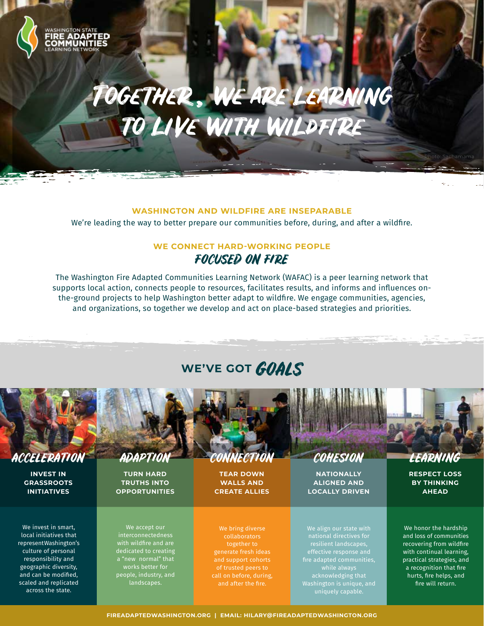

# Together , we are learning to liVe with wildfire

#### **WASHINGTON AND WILDFIRE ARE INSEPARABLE**

We're leading the way to better prepare our communities before, during, and after a wildfire.

### **WE CONNECT HARD-WORKING PEOPLE** FOCUSED ON FIRE

The Washington Fire Adapted Communities Learning Network (WAFAC) is a peer learning network that supports local action, connects people to resources, facilitates results, and informs and influences onthe-ground projects to help Washington better adapt to wildfire. We engage communities, agencies, and organizations, so together we develop and act on place-based strategies and priorities.

# WE'VE GOT **GOALS**



**INVEST IN GRASSROOTS INITIATIVES**

We invest in smart, local initiatives that represent Washington's culture of personal responsibility and geographic diversity, and can be modified, scaled and replicated across the state.

**TURN HARD TRUTHS INTO OPPORTUNITIES**

We accept our interconnectedness with wildfire and are dedicated to creating a "new normal" that works better for people, industry, and landscapes.

ACCELERATION ADAPTION CONNECTION COHESION

**TEAR DOWN WALLS AND CREATE ALLIES**

**NATIONALLY ALIGNED AND LOCALLY DRIVEN**

Photo: Sachamama

**RESPECT LOSS BY THINKING AHEAD**

We bring diverse collaborators together to generate fresh ideas of trusted peers to call on before, during,

We align our state with national directives for resilient landscapes, while always acknowledging that Washington is unique, and uniquely capable.

We honor the hardship and loss of communities recovering from wildfire with continual learning, practical strategies, and a recognition that fire hurts, fire helps, and fire will return.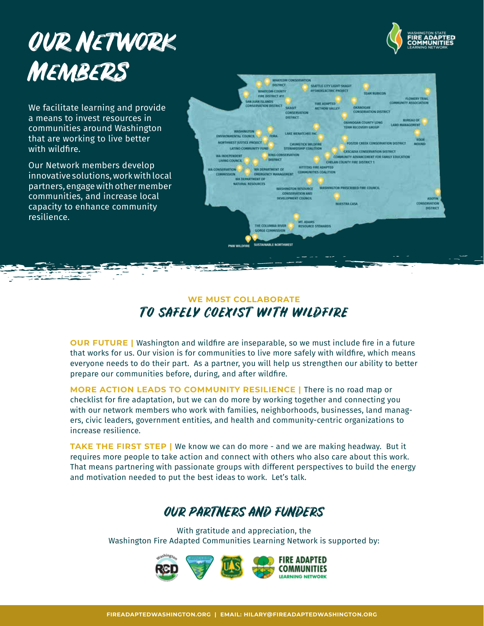# Our Network **MEMBERS**



We facilitate learning and provide a means to invest resources in communities around Washington that are working to live better with wildfire.

Our Network members develop innovative solutions, work with local partners, engage with other member communities, and increase local capacity to enhance community resilience.



### **WE MUST COLLABORATE** TO SAFELY COEXIST WITH WILDFIRE

**OUR FUTURE |** Washington and wildfire are inseparable, so we must include fire in a future that works for us. Our vision is for communities to live more safely with wildfire, which means everyone needs to do their part. As a partner, you will help us strengthen our ability to better prepare our communities before, during, and after wildfire.

**MORE ACTION LEADS TO COMMUNITY RESILIENCE |** There is no road map or checklist for fire adaptation, but we can do more by working together and connecting you with our network members who work with families, neighborhoods, businesses, land managers, civic leaders, government entities, and health and community-centric organizations to increase resilience.

**TAKE THE FIRST STEP |** We know we can do more - and we are making headway. But it requires more people to take action and connect with others who also care about this work. That means partnering with passionate groups with different perspectives to build the energy and motivation needed to put the best ideas to work. Let's talk.

## OUR PARTNERS AND FUNDERS

With gratitude and appreciation, the Washington Fire Adapted Communities Learning Network is supported by:

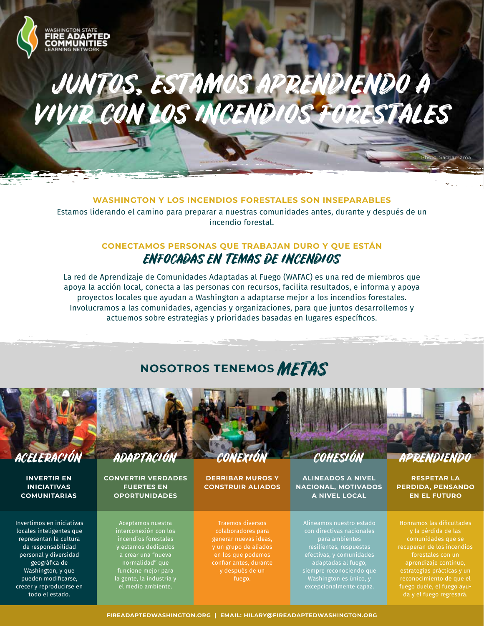# JUNTOS, ESTAMOS APRENDIENDO A VIVIR CON LOS INCENDIOS FORESTALES

#### **WASHINGTON Y LOS INCENDIOS FORESTALES SON INSEPARABLES**

Estamos liderando el camino para preparar a nuestras comunidades antes, durante y después de un incendio forestal.

### **CONECTAMOS PERSONAS QUE TRABAJAN DURO Y QUE ESTÁN** ENFOCADAS EN TEMAS DE INCENDIOS

La red de Aprendizaje de Comunidades Adaptadas al Fuego (WAFAC) es una red de miembros que apoya la acción local, conecta a las personas con recursos, facilita resultados, e informa y apoya proyectos locales que ayudan a Washington a adaptarse mejor a los incendios forestales. Involucramos a las comunidades, agencias y organizaciones, para que juntos desarrollemos y actuemos sobre estrategias y prioridades basadas en lugares específicos.

# **NOSOTROS TENEMOS** METAS



**INVERTIR EN INICIATIVAS COMUNITARIAS**

31.PE

**OMMUNIT** 

Invertimos en iniciativas locales inteligentes que representan la cultura de responsabilidad personal y diversidad geográfica de Washington, y que pueden modificarse, crecer y reproducirse en todo el estado.

**CONVERTIR VERDADES FUERTES EN OPORTUNIDADES**

> Aceptamos nuestra interconexión con los y estamos dedicados a crear una "nueva normalidad" que funcione mejor para la gente, la industria y el medio ambiente.

CONEXIÓN

**DERRIBAR MUROS Y CONSTRUIR ALIADOS**

Traemos diversos colaboradores para generar nuevas ideas, y un grupo de aliados confiar antes, durante y después de un fuego.

**ALINEADOS A NIVEL NACIONAL, MOTIVADOS A NIVEL LOCAL**

Alineamos nuestro estado efectivas, y comunidades adaptadas al fuego, siempre reconociendo que Washington es único, y excepcionalmente capaz.

Photo: Sachamama

**RESPETAR LA PERDIDA, PENSANDO EN EL FUTURO**

Honramos las dificultades recuperan de los incendios forestales con un aprendizaje continuo, estrategias prácticas y un reconocimiento de que el fuego duele, el fuego ayuda y el fuego regresará.

**FIREADAPTEDWASHINGTON.ORG | EMAIL: HILARY@FIREADAPTEDWASHINGTON.ORG**